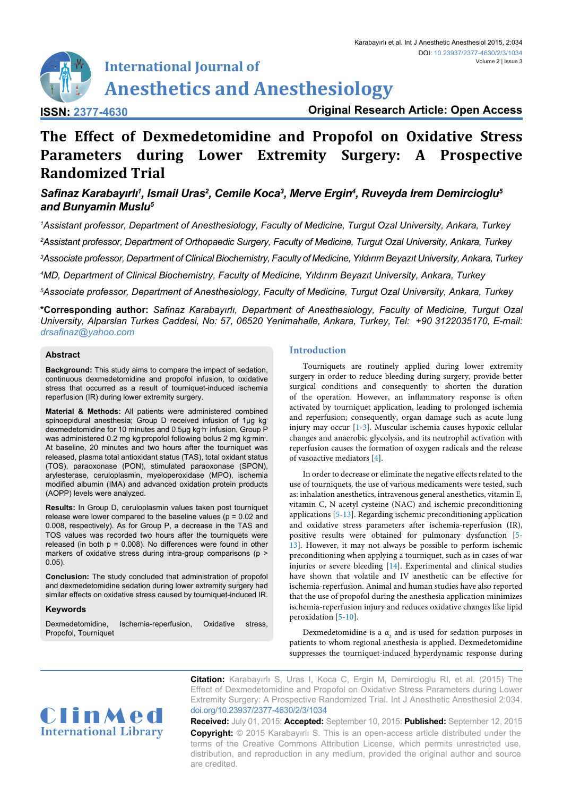# **International Journal of Anesthetics and Anesthesiology**

**ISSN: 2377-4630**

**Original Research Article: Open Access**

## **The Effect of Dexmedetomidine and Propofol on Oxidative Stress Parameters during Lower Extremity Surgery: A Prospective Randomized Trial**

### *Safinaz Karabayırlı<sup>1</sup> , Ismail Uras<sup>2</sup> , Cemile Koca<sup>3</sup> , Merve Ergin<sup>4</sup> , Ruveyda Irem Demircioglu<sup>5</sup> and Bunyamin Muslu<sup>5</sup>*

 *Assistant professor, Department of Anesthesiology, Faculty of Medicine, Turgut Ozal University, Ankara, Turkey Assistant professor, Department of Orthopaedic Surgery, Faculty of Medicine, Turgut Ozal University, Ankara, Turkey Associate professor, Department of Clinical Biochemistry, Faculty of Medicine, Yıldırım Beyazıt University, Ankara, Turkey MD, Department of Clinical Biochemistry, Faculty of Medicine, Yıldırım Beyazıt University, Ankara, Turkey Associate professor, Department of Anesthesiology, Faculty of Medicine, Turgut Ozal University, Ankara, Turkey*

**\*Corresponding author:** *Safinaz Karabayırlı, Department of Anesthesiology, Faculty of Medicine, Turgut Ozal University, Alparslan Turkes Caddesi, No: 57, 06520 Yenimahalle, Ankara, Turkey, Tel: +90 3122035170, E-mail: drsafinaz@yahoo.com*

#### **Abstract**

**Background:** This study aims to compare the impact of sedation, continuous dexmedetomidine and propofol infusion, to oxidative stress that occurred as a result of tourniquet-induced ischemia reperfusion (IR) during lower extremity surgery.

**Material & Methods:** All patients were administered combined spinoepidural anesthesia; Group D received infusion of 1µg kg dexmedetomidine for 10 minutes and 0.5µg kg·h· infusion, Group P was administered 0.2 mg kg propofol following bolus 2 mg kg min. At baseline, 20 minutes and two hours after the tourniquet was released, plasma total antioxidant status (TAS), total oxidant status (TOS), paraoxonase (PON), stimulated paraoxonase (SPON), arylesterase, ceruloplasmin, myeloperoxidase (MPO), ischemia modified albumin (IMA) and advanced oxidation protein products (AOPP) levels were analyzed.

**Results:** In Group D, ceruloplasmin values taken post tourniquet release were lower compared to the baseline values ( $p = 0.02$  and 0.008, respectively). As for Group P, a decrease in the TAS and TOS values was recorded two hours after the tourniquets were released (in both  $p = 0.008$ ). No differences were found in other markers of oxidative stress during intra-group comparisons (p > 0.05).

**Conclusion:** The study concluded that administration of propofol and dexmedetomidine sedation during lower extremity surgery had similar effects on oxidative stress caused by tourniquet-induced IR.

#### **Keywords**

Dexmedetomidine, Ischemia-reperfusion, Oxidative stress, Propofol, Tourniquet

#### **Introduction**

Tourniquets are routinely applied during lower extremity surgery in order to reduce bleeding during surgery, provide better surgical conditions and consequently to shorten the duration of the operation. However, an inflammatory response is often activated by tourniquet application, leading to prolonged ischemia and reperfusion; consequently, organ damage such as acute lung injury may occur [\[1](#page-5-0)-[3\]](#page-5-1). Muscular ischemia causes hypoxic cellular changes and anaerobic glycolysis, and its neutrophil activation with reperfusion causes the formation of oxygen radicals and the release of vasoactive mediators [[4](#page-5-2)].

In order to decrease or eliminate the negative effects related to the use of tourniquets, the use of various medicaments were tested, such as: inhalation anesthetics, intravenous general anesthetics, vitamin E, vitamin C, N acetyl cysteine (NAC) and ischemic preconditioning applications [\[5](#page-5-3)-[13](#page-5-4)]. Regarding ischemic preconditioning application and oxidative stress parameters after ischemia-reperfusion (IR), positive results were obtained for pulmonary dysfunction [\[5-](#page-5-3) [13\]](#page-5-4). However, it may not always be possible to perform ischemic preconditioning when applying a tourniquet, such as in cases of war injuries or severe bleeding [[14](#page-5-5)]. Experimental and clinical studies have shown that volatile and IV anesthetic can be effective for ischemia-reperfusion. Animal and human studies have also reported that the use of propofol during the anesthesia application minimizes ischemia-reperfusion injury and reduces oxidative changes like lipid peroxidation [[5](#page-5-3)[-10\]](#page-5-6).

Dexmedetomidine is a  $a_2$  and is used for sedation purposes in patients to whom regional anesthesia is applied. Dexmedetomidine suppresses the tourniquet-induced hyperdynamic response during



**Citation:** Karabayırlı S, Uras I, Koca C, Ergin M, Demircioglu RI, et al. (2015) The Effect of Dexmedetomidine and Propofol on Oxidative Stress Parameters during Lower Extremity Surgery: A Prospective Randomized Trial. Int J Anesthetic Anesthesiol 2:034. [doi.org/10.23937/2377-4630/2/3/1034](https://doi.org/10.23937/2377-4630/2/3/1034)

**Received:** July 01, 2015: **Accepted:** September 10, 2015: **Published:** September 12, 2015 **Copyright:** © 2015 Karabayırlı S. This is an open-access article distributed under the terms of the Creative Commons Attribution License, which permits unrestricted use, distribution, and reproduction in any medium, provided the original author and source are credited.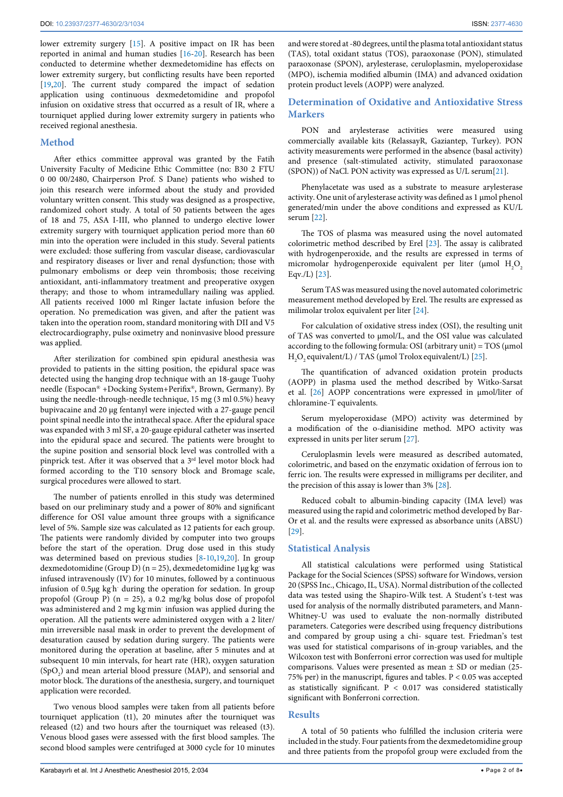lower extremity surgery [\[15\]](#page-5-7). A positive impact on IR has been reported in animal and human studies [\[16](#page-5-8)[-20\]](#page-5-9). Research has been conducted to determine whether dexmedetomidine has effects on lower extremity surgery, but conflicting results have been reported [[19](#page-5-10)[,20\]](#page-5-9). The current study compared the impact of sedation application using continuous dexmedetomidine and propofol infusion on oxidative stress that occurred as a result of IR, where a tourniquet applied during lower extremity surgery in patients who received regional anesthesia.

#### **Method**

After ethics committee approval was granted by the Fatih University Faculty of Medicine Ethic Committee (no: B30 2 FTU 0 00 00/2480, Chairperson Prof. S Dane) patients who wished to join this research were informed about the study and provided voluntary written consent. This study was designed as a prospective, randomized cohort study. A total of 50 patients between the ages of 18 and 75, ASA I-III, who planned to undergo elective lower extremity surgery with tourniquet application period more than 60 min into the operation were included in this study. Several patients were excluded: those suffering from vascular disease, cardiovascular and respiratory diseases or liver and renal dysfunction; those with pulmonary embolisms or deep vein thrombosis; those receiving antioxidant, anti-inflammatory treatment and preoperative oxygen therapy; and those to whom intramedullary nailing was applied. All patients received 1000 ml Ringer lactate infusion before the operation. No premedication was given, and after the patient was taken into the operation room, standard monitoring with DII and V5 electrocardiography, pulse oximetry and noninvasive blood pressure was applied.

After sterilization for combined spin epidural anesthesia was provided to patients in the sitting position, the epidural space was detected using the hanging drop technique with an 18-gauge Tuohy needle (Espocan® +Docking System+Perifix®, Brown, Germany). By using the needle-through-needle technique, 15 mg (3 ml 0.5%) heavy bupivacaine and 20 μg fentanyl were injected with a 27-gauge pencil point spinal needle into the intrathecal space. After the epidural space was expanded with 3 ml SF, a 20-gauge epidural catheter was inserted into the epidural space and secured. The patients were brought to the supine position and sensorial block level was controlled with a pinprick test. After it was observed that a 3<sup>rd</sup> level motor block had formed according to the T10 sensory block and Bromage scale, surgical procedures were allowed to start.

The number of patients enrolled in this study was determined based on our preliminary study and a power of 80% and significant difference for OSI value amount three groups with a significance level of 5%. Sample size was calculated as 12 patients for each group. The patients were randomly divided by computer into two groups before the start of the operation. Drug dose used in this study was determined based on previous studies [\[8-](#page-5-11)[10,](#page-5-6)[19](#page-5-10)[,20\]](#page-5-9). In group dexmedotomidine (Group D) (n = 25), dexmedetomidine 1µg kg- was infused intravenously (IV) for 10 minutes, followed by a continuous infusion of 0.5µg kg<sup>-</sup>h-during the operation for sedation. In group propofol (Group P) (n = 25), a 0.2 mg/kg bolus dose of propofol was administered and 2 mg kg min infusion was applied during the operation. All the patients were administered oxygen with a 2 liter/ min irreversible nasal mask in order to prevent the development of desaturation caused by sedation during surgery. The patients were monitored during the operation at baseline, after 5 minutes and at subsequent 10 min intervals, for heart rate (HR), oxygen saturation  $(SpO<sub>2</sub>)$  and mean arterial blood pressure (MAP), and sensorial and motor block. The durations of the anesthesia, surgery, and tourniquet application were recorded.

Two venous blood samples were taken from all patients before tourniquet application (t1), 20 minutes after the tourniquet was released (t2) and two hours after the tourniquet was released (t3). Venous blood gases were assessed with the first blood samples. The second blood samples were centrifuged at 3000 cycle for 10 minutes

#### **Determination of Oxidative and Antioxidative Stress Markers**

PON and arylesterase activities were measured using commercially available kits (RelassayR, Gaziantep, Turkey). PON activity measurements were performed in the absence (basal activity) and presence (salt-stimulated activity, stimulated paraoxonase (SPON)) of NaCl. PON activity was expressed as U/L serum[\[21\]](#page-5-12).

Phenylacetate was used as a substrate to measure arylesterase activity. One unit of arylesterase activity was defined as 1 μmol phenol generated/min under the above conditions and expressed as KU/L serum [\[22](#page-5-13)].

The TOS of plasma was measured using the novel automated colorimetric method described by Erel [\[23](#page-5-14)]. The assay is calibrated with hydrogenperoxide, and the results are expressed in terms of micromolar hydrogenperoxide equivalent per liter ( $\mu$ mol  $H_2O_2$ Eqv./L) [[23](#page-5-14)].

Serum TAS was measured using the novel automated colorimetric measurement method developed by Erel. The results are expressed as milimolar trolox equivalent per liter [[24](#page-5-15)].

For calculation of oxidative stress index (OSI), the resulting unit of TAS was converted to µmol/L, and the OSI value was calculated according to the following formula: OSI (arbitrary unit) =  $TOS$  (µmol  $H_2O_2$  equivalent/L) / TAS (µmol Trolox equivalent/L) [[25](#page-5-16)].

The quantification of advanced oxidation protein products (AOPP) in plasma used the method described by Witko-Sarsat et al. [\[26\]](#page-5-17) AOPP concentrations were expressed in µmol/liter of chloramine-T equivalents.

Serum myeloperoxidase (MPO) activity was determined by a modification of the o-dianisidine method. MPO activity was expressed in units per liter serum [[27](#page-5-18)].

Ceruloplasmin levels were measured as described automated, colorimetric, and based on the enzymatic oxidation of ferrous ion to ferric ion. The results were expressed in milligrams per deciliter, and the precision of this assay is lower than 3% [[28](#page-5-19)].

Reduced cobalt to albumin-binding capacity (IMA level) was measured using the rapid and colorimetric method developed by Bar-Or et al. and the results were expressed as absorbance units (ABSU) [[29](#page-5-20)].

#### **Statistical Analysis**

All statistical calculations were performed using Statistical Package for the Social Sciences (SPSS) software for Windows, version 20 (SPSS Inc., Chicago, IL, USA). Normal distribution of the collected data was tested using the Shapiro-Wilk test. A Student's t-test was used for analysis of the normally distributed parameters, and Mann-Whitney-U was used to evaluate the non-normally distributed parameters. Categories were described using frequency distributions and compared by group using a chi- square test. Friedman's test was used for statistical comparisons of in-group variables, and the Wilcoxon test with Bonferroni error correction was used for multiple comparisons. Values were presented as mean ± SD or median (25- 75% per) in the manuscript, figures and tables. P < 0.05 was accepted as statistically significant.  $P < 0.017$  was considered statistically significant with Bonferroni correction.

#### **Results**

A total of 50 patients who fulfilled the inclusion criteria were included in the study. Four patients from the dexmedetomidine group and three patients from the propofol group were excluded from the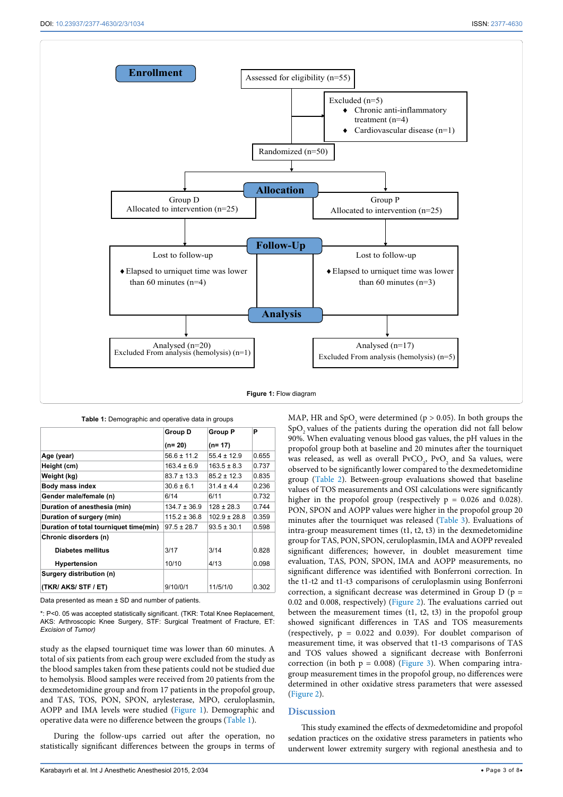<span id="page-2-0"></span>Ī



|                                        | Group D          | <b>Group P</b>   | P     |
|----------------------------------------|------------------|------------------|-------|
|                                        | $(n=20)$         | $(n=17)$         |       |
| Age (year)                             | $56.6 \pm 11.2$  | $55.4 \pm 12.9$  | 0.655 |
| Height (cm)                            | $163.4 \pm 6.9$  | $163.5 \pm 8.3$  | 0.737 |
| Weight (kg)                            | $83.7 \pm 13.3$  | $85.2 \pm 12.3$  | 0.835 |
| Body mass index                        | $30.6 \pm 6.1$   | $31.4 \pm 4.4$   | 0.236 |
| Gender male/female (n)                 | 6/14             | 6/11             | 0.732 |
| Duration of anesthesia (min)           | $134.7 \pm 36.9$ | $128 \pm 28.3$   | 0.744 |
| Duration of surgery (min)              | $115.2 \pm 36.8$ | $102.9 \pm 28.8$ | 0.359 |
| Duration of total tourniquet time(min) | $97.5 \pm 28.7$  | $93.5 \pm 30.1$  | 0.598 |
| Chronic disorders (n)                  |                  |                  |       |
| <b>Diabetes mellitus</b>               | 3/17             | 3/14             | 0.828 |
| <b>Hypertension</b>                    | 10/10            | 4/13             | 0.098 |
| Surgery distribution (n)               |                  |                  |       |
| (TKR/ AKS/ STF / ET)                   | 9/10/0/1         | 11/5/1/0         | 0.302 |

<span id="page-2-1"></span>**Table 1:** Demographic and operative data in groups

Data presented as mean ± SD and number of patients.

\*: P<0. 05 was accepted statistically significant. (TKR: Total Knee Replacement, AKS: Arthroscopic Knee Surgery, STF: Surgical Treatment of Fracture, ET: *Excision* of *Tumor)*

study as the elapsed tourniquet time was lower than 60 minutes. A total of six patients from each group were excluded from the study as the blood samples taken from these patients could not be studied due to hemolysis. Blood samples were received from 20 patients from the dexmedetomidine group and from 17 patients in the propofol group, and TAS, TOS, PON, SPON, arylesterase, MPO, ceruloplasmin, AOPP and IMA levels were studied ([Figure 1](#page-2-0)). Demographic and operative data were no difference between the groups ([Table 1](#page-2-1)).

During the follow-ups carried out after the operation, no statistically significant differences between the groups in terms of

MAP, HR and  $SpO<sub>2</sub>$  were determined ( $p > 0.05$ ). In both groups the SpO<sub>2</sub> values of the patients during the operation did not fall below 90%. When evaluating venous blood gas values, the pH values in the propofol group both at baseline and 20 minutes after the tourniquet was released, as well as overall  $PvCO_2$ ,  $PvO_2$  and Sa values, were observed to be significantly lower compared to the dexmedetomidine group [\(Table 2\)](#page-3-0). Between-group evaluations showed that baseline values of TOS measurements and OSI calculations were significantly higher in the propofol group (respectively  $p = 0.026$  and 0.028). PON, SPON and AOPP values were higher in the propofol group 20 minutes after the tourniquet was released [\(Table 3](#page-3-1)). Evaluations of intra-group measurement times (t1, t2, t3) in the dexmedetomidine group for TAS, PON, SPON, ceruloplasmin, IMA and AOPP revealed significant differences; however, in doublet measurement time evaluation, TAS, PON, SPON, IMA and AOPP measurements, no significant difference was identified with Bonferroni correction. In the t1-t2 and t1-t3 comparisons of ceruloplasmin using Bonferroni correction, a significant decrease was determined in Group  $D$  ( $p =$ 0.02 and 0.008, respectively) [\(Figure 2\)](#page-4-0). The evaluations carried out between the measurement times (t1, t2, t3) in the propofol group showed significant differences in TAS and TOS measurements (respectively,  $p = 0.022$  and 0.039). For doublet comparison of measurement time, it was observed that t1-t3 comparisons of TAS and TOS values showed a significant decrease with Bonferroni correction (in both  $p = 0.008$ ) ([Figure 3\)](#page-4-1). When comparing intragroup measurement times in the propofol group, no differences were determined in other oxidative stress parameters that were assessed ([Figure 2\)](#page-4-0).

#### **Discussion**

This study examined the effects of dexmedetomidine and propofol sedation practices on the oxidative stress parameters in patients who underwent lower extremity surgery with regional anesthesia and to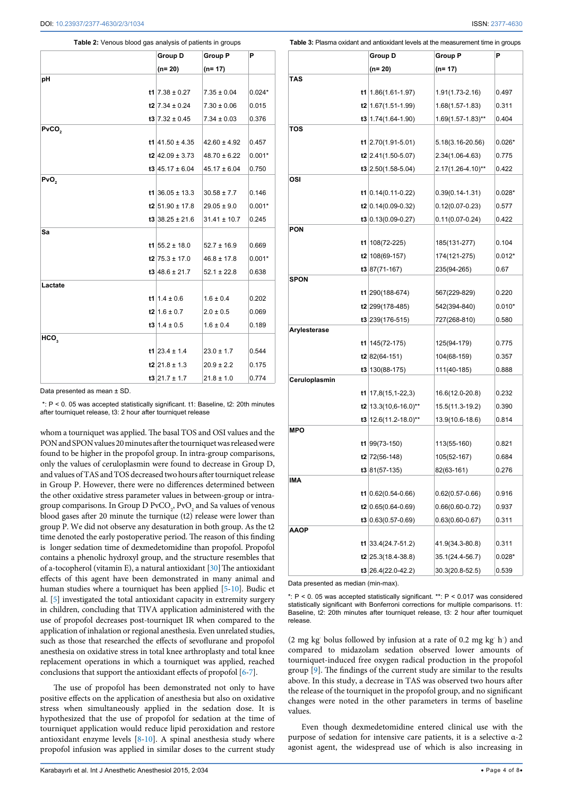<span id="page-3-0"></span>**Table 2:** Venous blood gas analysis of patients in groups

|                   | Group D              | Group P          | Р        |
|-------------------|----------------------|------------------|----------|
|                   | (n= 20)              | $(n=17)$         |          |
| рH                |                      |                  |          |
|                   | t1 $7.38 \pm 0.27$   | $7.35 \pm 0.04$  | $0.024*$ |
|                   | $t2$ 7.34 $\pm$ 0.24 | $7.30 \pm 0.06$  | 0.015    |
|                   | $t3$ 7.32 ± 0.45     | $7.34 \pm 0.03$  | 0.376    |
| PvCO <sub>2</sub> |                      |                  |          |
|                   | t1 $41.50 \pm 4.35$  | $42.60 \pm 4.92$ | 0.457    |
|                   | $t2$ 42.09 ± 3.73    | $48.70 \pm 6.22$ | $0.001*$ |
|                   | $t3$ 45.17 ± 6.04    | $45.17 \pm 6.04$ | 0.750    |
| PvO <sub>2</sub>  |                      |                  |          |
|                   | $t1$ 36.05 ± 13.3    | $30.58 \pm 7.7$  | 0.146    |
|                   | $t2$ 51.90 ± 17.8    | $29.05 \pm 9.0$  | $0.001*$ |
|                   | $13$ 38.25 ± 21.6    | $31.41 \pm 10.7$ | 0.245    |
| Sa                |                      |                  |          |
|                   | t1 $55.2 \pm 18.0$   | $52.7 \pm 16.9$  | 0.669    |
|                   | $t2$ 75.3 ± 17.0     | $46.8 \pm 17.8$  | $0.001*$ |
|                   | $t3$ 48.6 ± 21.7     | $52.1 \pm 22.8$  | 0.638    |
| Lactate           |                      |                  |          |
|                   | $t1$ 1.4 ± 0.6       | $1.6 \pm 0.4$    | 0.202    |
|                   | $t2$ 1.6 ± 0.7       | $2.0 \pm 0.5$    | 0.069    |
|                   | $1.4 \pm 0.5$        | $1.6 \pm 0.4$    | 0.189    |
| HCO,              |                      |                  |          |
|                   | t1 23.4 $\pm$ 1.4    | $23.0 \pm 1.7$   | 0.544    |
|                   | $t2$ 21.8 ± 1.3      | $20.9 \pm 2.2$   | 0.175    |
|                   | $t3$ 21.7 ± 1.7      | $21.8 \pm 1.0$   | 0.774    |

Data presented as mean ± SD.

 $: P < 0.05$  was accepted statistically significant. t1: Baseline, t2: 20th minutes after tourniquet release, t3: 2 hour after tourniquet release

whom a tourniquet was applied. The basal TOS and OSI values and the PON and SPON values 20 minutes after the tourniquet was released were found to be higher in the propofol group. In intra-group comparisons, only the values of ceruloplasmin were found to decrease in Group D, and values of TAS and TOS decreased two hours after tourniquet release in Group P. However, there were no differences determined between the other oxidative stress parameter values in between-group or intragroup comparisons. In Group D $\mathrm{PvCO}_2$  ,  $\mathrm{PvO}_2$  and Sa values of venous blood gases after 20 minute the turnique (t2) release were lower than group P. We did not observe any desaturation in both group. As the t2 time denoted the early postoperative period. The reason of this finding is longer sedation time of dexmedetomidine than propofol. Propofol contains a phenolic hydroxyl group, and the structure resembles that of a-tocopherol (vitamin E), a natural antioxidant  $[30]$  $[30]$  The antioxidant effects of this agent have been demonstrated in many animal and human studies where a tourniquet has been applied [[5](#page-5-3)[-10\]](#page-5-6). Budic et al. [\[5](#page-5-3)] investigated the total antioxidant capacity in extremity surgery in children, concluding that TIVA application administered with the use of propofol decreases post-tourniquet IR when compared to the application of inhalation or regional anesthesia. Even unrelated studies, such as those that researched the effects of sevoflurane and propofol anesthesia on oxidative stress in total knee arthroplasty and total knee replacement operations in which a tourniquet was applied, reached conclusions that support the antioxidant effects of propofol [\[6](#page-5-22)[-7\]](#page-5-23).

The use of propofol has been demonstrated not only to have positive effects on the application of anesthesia but also on oxidative stress when simultaneously applied in the sedation dose. It is hypothesized that the use of propofol for sedation at the time of tourniquet application would reduce lipid peroxidation and restore antioxidant enzyme levels [\[8-](#page-5-11)[10](#page-5-6)]. A spinal anesthesia study where propofol infusion was applied in similar doses to the current study

<span id="page-3-1"></span>

| Table 3: Plasma oxidant and antioxidant levels at the measurement time in groups |
|----------------------------------------------------------------------------------|
|----------------------------------------------------------------------------------|

|               | Group D                          | <b>Group P</b>         | P        |
|---------------|----------------------------------|------------------------|----------|
|               | (n= 20)                          | (n= 17)                |          |
| <b>TAS</b>    |                                  |                        |          |
|               | <b>t1</b>   1.86 $(1.61 - 1.97)$ | 1.91(1.73-2.16)        | 0.497    |
|               | $t2$ 1.67(1.51-1.99)             | $1.68(1.57-1.83)$      | 0.311    |
|               | $t3 1.74(1.64-1.90)$             | $1.69(1.57 - 1.83)$ ** | 0.404    |
| TOS           |                                  |                        |          |
|               | t1 $2.70(1.91 - 5.01)$           | 5.18(3.16-20.56)       | $0.026*$ |
|               | $t2$ 2.41(1.50-5.07)             | 2.34(1.06-4.63)        | 0.775    |
|               | $\textbf{t3}$ 2.50(1.58-5.04)    | 2.17(1.26-4.10)**      | 0.422    |
| OSI           |                                  |                        |          |
|               | <b>t1</b> $ 0.14(0.11-0.22)$     | $0.39(0.14 - 1.31)$    | $0.028*$ |
|               | $t2 0.14(0.09-0.32)$             | $0.12(0.07 - 0.23)$    | 0.577    |
|               | $t3 0.13(0.09-0.27)$             | $0.11(0.07 - 0.24)$    | 0.422    |
| <b>PON</b>    |                                  |                        |          |
|               | t1 $108(72-225)$                 | 185(131-277)           | 0.104    |
|               | $t2$ 108(69-157)                 | 174(121-275)           | $0.012*$ |
|               | $t3 87(71-167)$                  | 235(94-265)            | 0.67     |
| SPON          |                                  |                        |          |
|               | t1 290(188-674)                  | 567(229-829)           | 0.220    |
|               | t2 299(178-485)                  | 542(394-840)           | $0.010*$ |
|               | $t3$ 239(176-515)                | 727(268-810)           | 0.580    |
| Arylesterase  |                                  |                        |          |
|               | t1 $145(72-175)$                 | 125(94-179)            | 0.775    |
|               | $t2 82(64-151)$                  | 104(68-159)            | 0.357    |
| Ceruloplasmin | $t3 130(88-175)$                 | 111(40-185)            | 0.888    |
|               | <b>t1</b>   17,8(15,1-22,3)      | 16.6(12.0-20.8)        | 0.232    |
|               | t2   13.3(10,6-16.0)**           | 15.5(11.3-19.2)        | 0.390    |
|               |                                  | 13.9(10.6-18.6)        | 0.814    |
| MPO           | t3   12.6(11.2-18.0)**           |                        |          |
|               | $t1$ 99(73-150)                  | 113(55-160)            | 0.821    |
|               | $t2$ 72(56-148)                  | 105(52-167)            | 0.684    |
|               | $t3 81(57-135)$                  | 82(63-161)             | 0.276    |
| IMA           |                                  |                        |          |
|               | $t1$ 0.62(0.54-0.66)             | $0.62(0.57 - 0.66)$    | 0.916    |
|               | $t2 0.65(0.64-0.69)$             | $0.66(0.60 - 0.72)$    | 0.937    |
|               | $t3 0.63(0.57-0.69)$             | $0.63(0.60 - 0.67)$    | 0.311    |
| AAOP          |                                  |                        |          |
|               | <b>t1</b> $ 33.4(24.7-51.2)$     | 41.9(34.3-80.8)        | 0.311    |
|               | $t2$ 25.3(18.4-38.8)             | 35.1(24.4-56.7)        | $0.028*$ |
|               | t3 26.4(22.0-42.2)               | 30.3(20.8-52.5)        | 0.539    |
|               |                                  |                        |          |

Data presented as median (min-max).

\*: P < 0. 05 was accepted statistically significant. \*\*: P < 0.017 was considered statistically significant with Bonferroni corrections for multiple comparisons. t1: Baseline, t2: 20th minutes after tourniquet release, t3: 2 hour after tourniquet release.

(2 mg kg<sup>-</sup> bolus followed by infusion at a rate of 0.2 mg kg<sup>-</sup> h<sup>-</sup>) and compared to midazolam sedation observed lower amounts of tourniquet-induced free oxygen radical production in the propofol group [[9](#page-5-24)]. The findings of the current study are similar to the results above. In this study, a decrease in TAS was observed two hours after the release of the tourniquet in the propofol group, and no significant changes were noted in the other parameters in terms of baseline values.

Even though dexmedetomidine entered clinical use with the purpose of sedation for intensive care patients, it is a selective α-2 agonist agent, the widespread use of which is also increasing in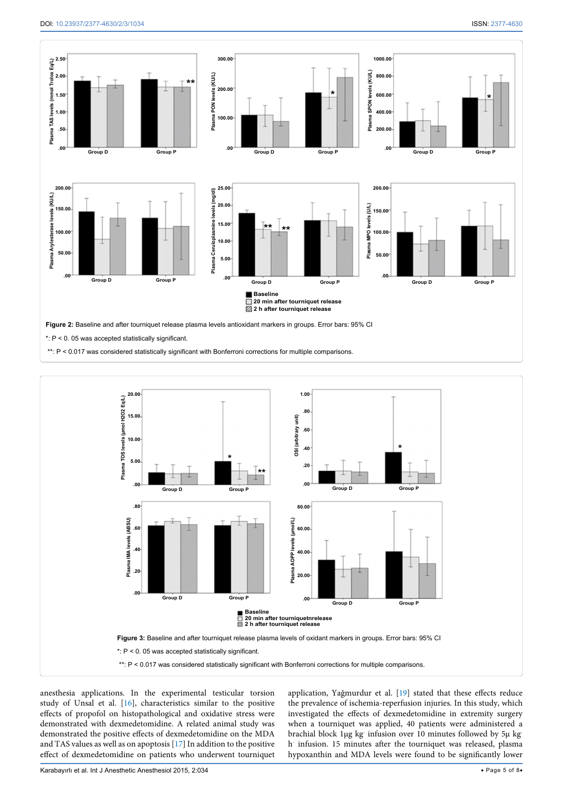<span id="page-4-0"></span>

<span id="page-4-1"></span>

anesthesia applications. In the experimental testicular torsion study of Unsal et al. [[16\]](#page-5-8), characteristics similar to the positive effects of propofol on histopathological and oxidative stress were demonstrated with dexmedetomidine. A related animal study was demonstrated the positive effects of dexmedetomidine on the MDA and TAS values as well as on apoptosis [[17](#page-5-25)] In addition to the positive effect of dexmedetomidine on patients who underwent tourniquet

application, Yağmurdur et al. [[19\]](#page-5-10) stated that these effects reduce the prevalence of ischemia-reperfusion injuries. In this study, which investigated the effects of dexmedetomidine in extremity surgery when a tourniquet was applied, 40 patients were administered a brachial block 1µg kg- infusion over 10 minutes followed by 5µ kgh<sup>-</sup> infusion. 15 minutes after the tourniquet was released, plasma hypoxanthin and MDA levels were found to be significantly lower